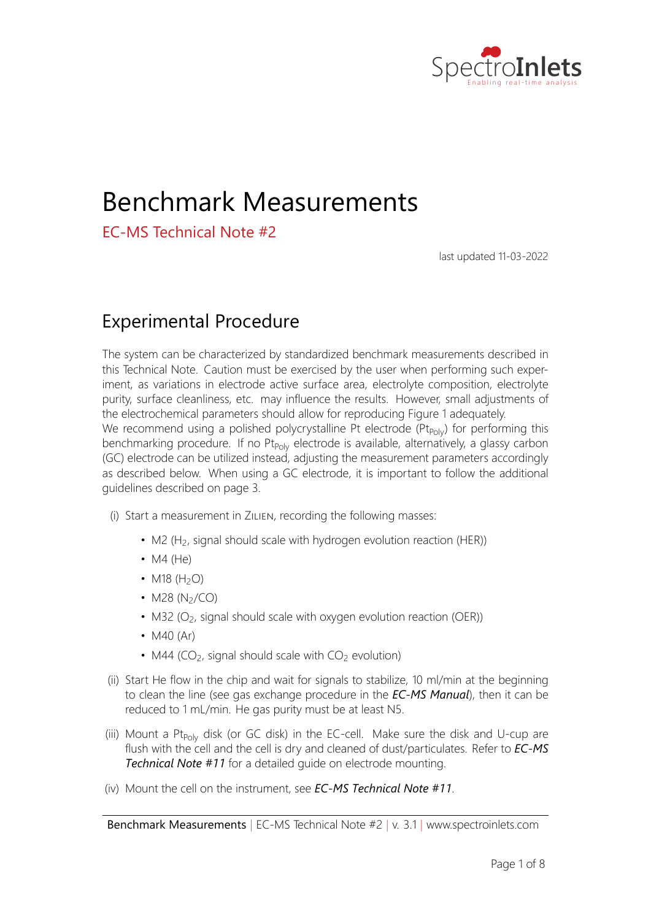

# Benchmark Measurements

EC‐MS Technical Note #2

last updated 11‐03‐2022

### Experimental Procedure

The system can be characterized by standardized benchmark measurements described in this Technical Note. Caution must be exercised by the user when performing such exper‐ iment, as variations in electrode active surface area, electrolyte composition, electrolyte purity, surface cleanliness, etc. may influence the results. However, small adjustments of the electrochemical parameters should allow for reproducing Figure 1 adequately. We recommend using a polished polycrystalline Pt electrode ( $Pt_{\text{Poly}}$ ) for performing this benchmarking procedure. If no Pt<sub>Poly</sub> electrode is available, alternatively, a glassy carbon (GC) electrode can be utilized instead, adjusting the measurement parameters accordingly as described below. When using a GC electrode, it is important to follow the additional guidelines described on page 3.

- (i) Start a measurement in ZILIEN, recording the following masses:
	- M2 (H<sub>2</sub>, signal should scale with hydrogen evolution reaction (HER))
	- $M4$  (He)
	- M18  $(H_2O)$
	- M28  $(N_2/CO)$
	- M32 (O<sub>2</sub>, signal should scale with oxygen evolution reaction (OER))
	- $\bullet$  M40 (Ar)
	- M44 ( $CO<sub>2</sub>$ , signal should scale with  $CO<sub>2</sub>$  evolution)
- (ii) Start He flow in the chip and wait for signals to stabilize, 10 ml/min at the beginning to clean the line (see gas exchange procedure in the **EC-MS Manual**), then it can be reduced to 1 mL/min. He gas purity must be at least N5.
- (iii) Mount a Pt<sub>Poly</sub> disk (or GC disk) in the EC-cell. Make sure the disk and U-cup are flush with the cell and the cell is dry and cleaned of dust/particulates. Refer to *EC‐MS Technical Note #11* for a detailed guide on electrode mounting.
- (iv) Mount the cell on the instrument, see **EC-MS Technical Note #11.**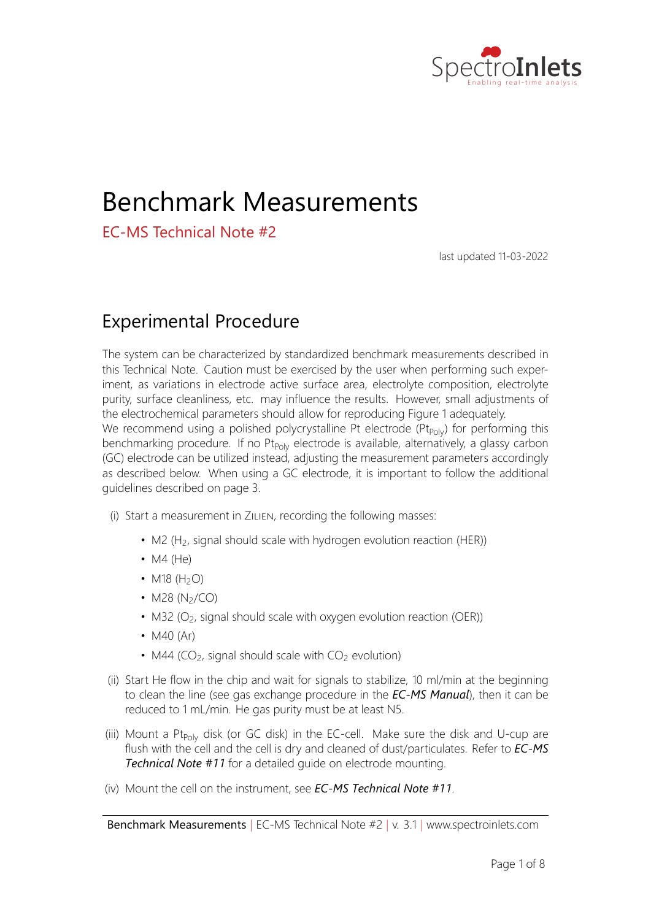

- (v) Fill the EC-cell with aqueous 0*:*1 M HClO<sub>4</sub> electrolyte (perchloric acid, analytical grade)
- (vi) Fill the glass pipes with the same electrolyte (make sure to avoid bubbles beneath the glass frit)
- (vii) Connect glass pipes to the EC-cell
- (viii) Insert a reference electrode in the first glass pipe and connect it to the potentiostat (white lead), ensure it is submerged in electrolyte.
- $(ix)$  Insert a counter electrode in the second glass pipe, ensure its surface area is higher than that of the working electrode. A coiled Pt wire or mesh works well.
- (x) Program an advanced cyclic voltammetry (CVA) experiment in EC-LAB, using the following parameters:
	- Lower (cathodic) potential limit V1 = 0.05 V vs RHE for Pt (or -0.85 V vs RHE for  $GC$
	- Higher (anodic) potential limit V2 = 1.70 V vs RHE (or 1.80 V vs RHE for GC)
	- Start CV at 0 V vs ref.
	- Record at least 5 cycles
	- Scan speed = 20 mV/s
	- Current range = 100  $\mu$ A, Bandwidth = 1

Note all potentials given herein are given relative to RHE, if another reference electrode is used convert correspondingly.

- (xi) In ZILIEN's measurement tab, click the button "Trigger EC measurement now"
- (xii) A plot similar to that in Figure 1a should be observed: The M2 signal should increase during the cathodic peak due to HER for both the GC and  $Pt_{\text{Poly}}$ . In the cathodic regimes the M32 signal should increase due to OER for the  $Pt_{\text{Poly}}$  and the M44 signal should increase for the GC due to the oxidation of the carbon stub, as shown in Figure 1 and Figure 2, respectively. Any carbon impurities on the electrode and in the electrolyte will be oxidized to CO<sub>2</sub> during the anodic sweeps, causing an increase in the M44 signal. Note that GC starts oxidizing and releasing CO<sub>2</sub> already before OER onset, i.e. no M32 peaks are observed in the given potential range. If cleanliness is poor, the Pt<sub>Poly</sub> system may exhibit variations in the height of M32 signal and CV shape.
- (xiii) Program a chronpotentiometry (CP) sequence in EC-lab using following parameters:
	- (a)  $\bullet$  0 µA constant current for 5 min
		- Limits  $E_{we}$  >  $E_M$  = pass
		- Record E<sub>we</sub> every 10 mV or 1 s
		- Current range = 100  $\mu$ A, Bandwidth = 1
	- (b)  $\bullet$  -0.25 µA constant current for 5 min
		- Limits  $E_{we}$  >  $E_M$  = pass

Benchmark Measurements *|* EC‐MS Technical Note #2 *|* v. 3.1 *|* www.spectroinlets.com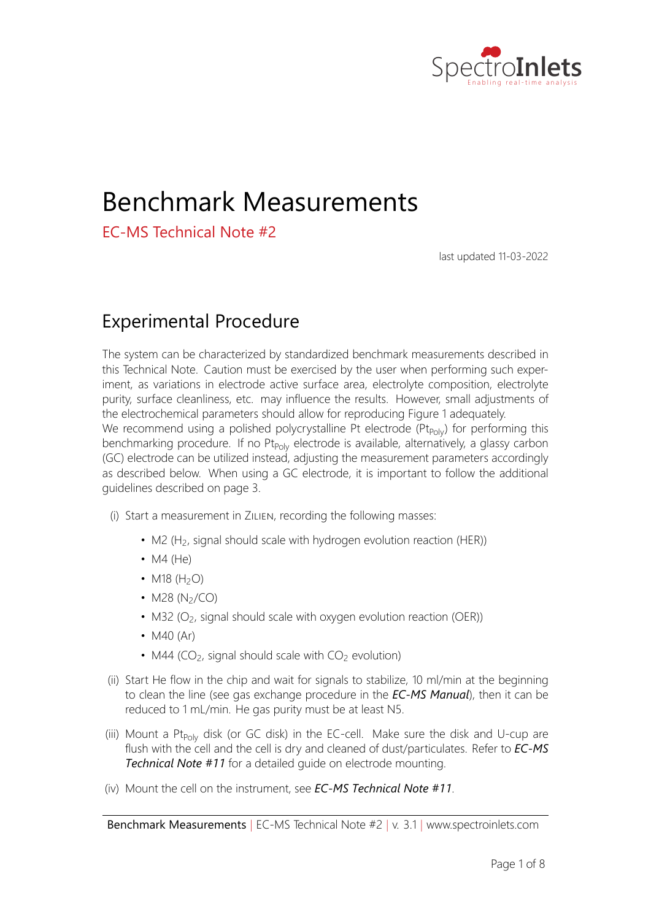

- Record E<sub>we</sub> every 10 mV or 1 s
- Current range = 100  $\mu$ A, Bandwidth = 1
- (c) Alternate between the two sequences for at least 3 times.
- (xiv) In ZILIEN's measurement tab, click the button "Trigger EC measurement now"
- (xv) After the experiment, analyse the decay of the M2 signal in between -0.25 µA-sequences to get a measure of the systems status, as described below.

#### Additional considerations when using a glassy carbon electrode

When using a GC electrode, cleanliness is crucial for achieving reproducible results. The cell, glass pipes, syringe and all parts in direct contact with the electrolyte need to be acid‐ cleaned thoroughly before assembling the cell. We recommend cleaning by immersion in piranha solution followed by thorough rinsing in ultrapure water and heating to *∼* 70 C to desorb sulphate residuals. Also the GC electrode itself needs to be cleaned, as GC often contains trace metal impurities which will affect the performance of the electrode (lower onset of HER): We recommend polishing followed by sonication and rinsing in ultrapure water, or even immersion in piranha.

Warning: Piranha solution is corrosive, highly oxidizing and highly reactive. Make sure to follow the Health & Safety measures required at your institution before you start working with it.

Sequential sonication and rinsing in ultrapure water (milli-Q, 18*:2* MΩcm) are can also be very efficient to obtain good cell cleanliness.

Warning: Sonication should only be employed following Health & Safety measures given by your institution and should ideally be done in sound-proof containers. Note, sonication is destructive to most frit materials (such as the ones present in the glass pipes).

The exact potential limit for onset of hydrogen evolution will depend on the cleanliness of equipment, electrode and electrolyte, as well as the electrode manufacturer. When us‐ ing a GC electrode, adjust the lower potential limit in steps in the range from ca. ‐0.6 to ‐0.9 V vs RHE such as to achieve a total current of ca. ‐0.03 mA at the potential limit.

For the GC system metal hydroxides (especially Pt traces) facilitate HER at lower potentials than shown in Figure 2, i.e. (1) if cleanliness of the system is poor, HER can occur closer to RHE than -0.8 V vs RHE. (2) After a few cycles up to the  $CO<sub>2</sub>$  evolution potential most of the contaminants facilitating HER will have been stripped off the GC surface, thus lowering the potential at which generation of the M2 signal can be observed. (3) After prolonged potential holds at cathodic potentials the GC tends to (re-)adsorb any (metal) cations from the electrolyte typically plating the GC with elements with a much higher activity towards HER than pure GC. This can be seen in the CP measurements, where the overpotential necessary for maintaining constant HER current decreases with time (Figure 4a). For these reasons, the GC system is in some respects a very good gauge for validating the user's cleaning procedure for removal of metal contaminants, assuming sufficiently pure GC stubs are available.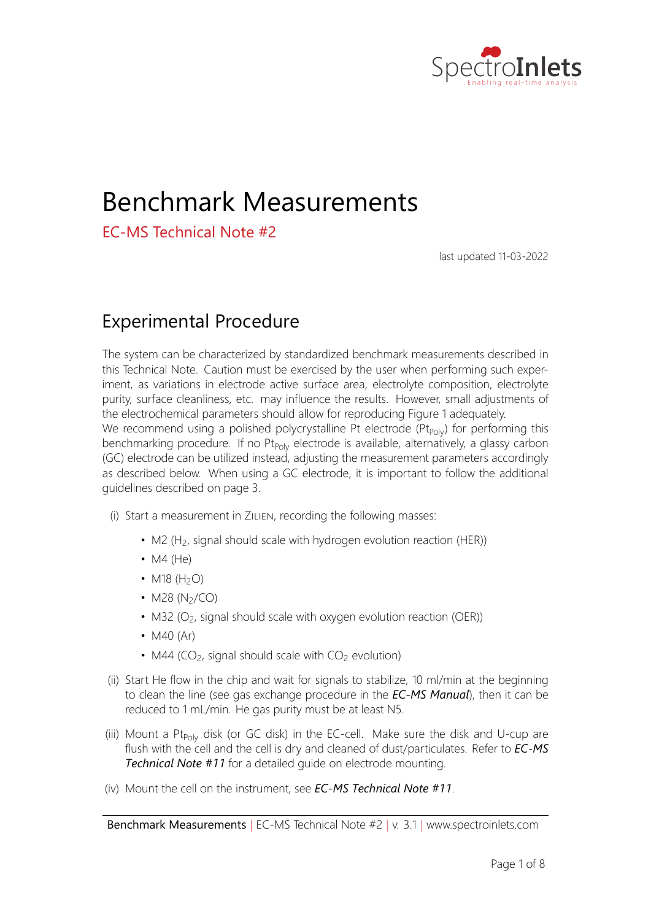



(a) EC-MS plot of all 5 cycles: Mass spectrometry (top) and electrochemistry (bottom) plotted vs. time.



(b) Electrochemical current plotted vs. potential showing a single cycle.

Figure 1: Cyclic voltammogram on a Pt<sub>Poly</sub> electrode. In both subplots, the potential is shown vs. the RHE reference electrode.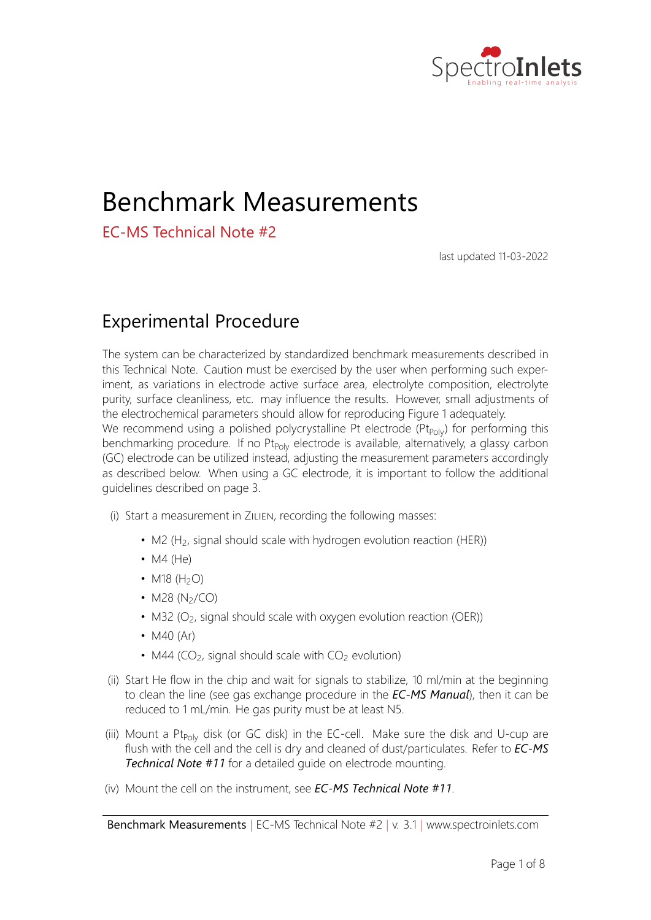



(a) EC-MS plot of all 5 cycles: Mass spectrometry (top) and electrochemistry (bottom) plotted vs. time.



(b) Electrochemical current plotted vs. potential showing a single cycle.

Figure 2: Cyclic voltammogram on a freshly cleaned GC electrode. In both subplots, the potential is shown vs. the RHE reference electrode. The signal intensities for the MS signals are higher than for the measurement on Pt<sub>Poly</sub> as shown in Figure 1 as the electron multiplier had been tuned in the between measurements.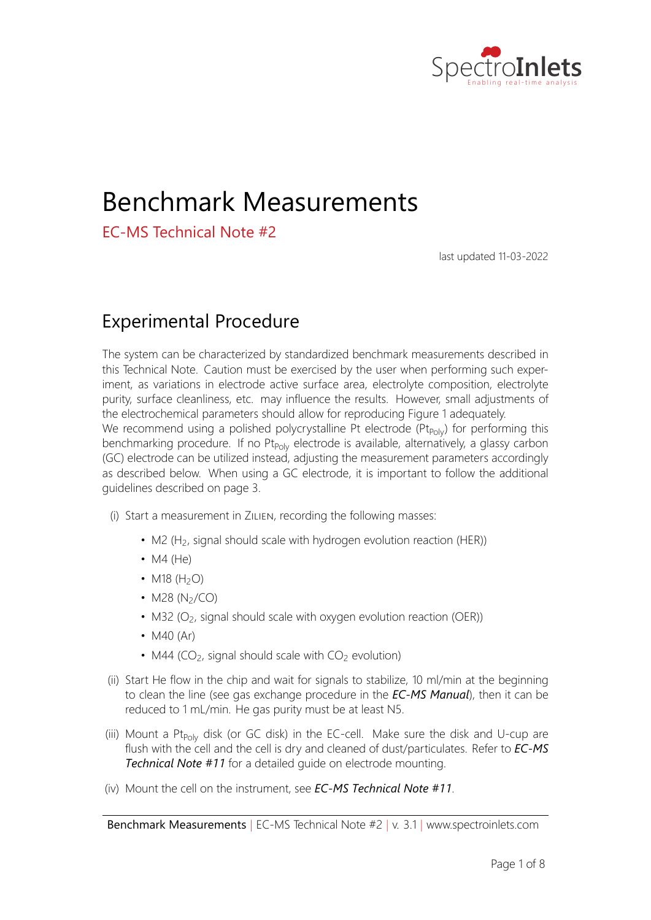

## Data Analysis

Fitting a single exponential to the decay tails of the M2 signals from the CPs gives an estimate of the decay time constant, according to the following equations:

$$
Y(t) \equiv Y_0 e^{-t/\tau} \tag{1}
$$

$$
Y(t = t_0) = 2Y(t = t_0 + t_{1/2}) \Rightarrow \boxed{t_{1/2} = \ln(2)}
$$
 (2)

Where in this case  $Y$  is the mass spectrometer signal intensity,  $t$  is time, is the decay constant, and  $t_{1/2}$  is the decay half-life constant. Eq. 1 represents a simple exponential decay, whereas Eq. 2 allows to calculate the half‐life associated to such decay, i.e. the time required for the signal to fall to one half of its initial value.

The decay of the analyte signals in the MS is more complex than a simple exponential decay. To obtain a good fit and comparable results it is therefore necessary to limit the fit to the first 5 s of the decay. Typical fitting results and decay constants from the CP experiment are shown in Figure 3 and 4. Following half‐life constants can be extracted for the M2 signal:

$$
t_{1/2}(\text{M2}) = 3.8 \text{ s} \tag{3}
$$

Note that the half-life constant can vary depending on the alignment of the electrode, the type of electrode and the tuning status of the instrument, as can be seen comparing Figures 3b and 4b.

#### Note on Data Treatment

All data treatment and plotting in this application note was carried out using the open source PYTHON package IXDAT, available at https://github.com/ixdat/ixdat.